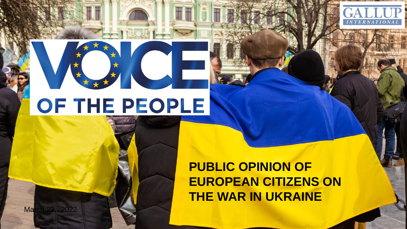# OF THE PEOPLE

March 23, 2022

**PUBLIC OPINION OF EUROPEAN CITIZENS ON THE WAR IN UKRAINE**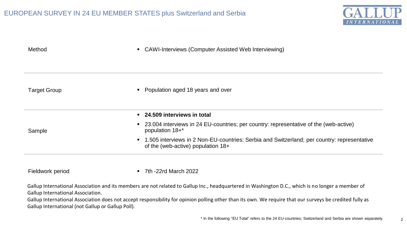

| Method              | • CAWI-Interviews (Computer Assisted Web Interviewing)                                                                              |
|---------------------|-------------------------------------------------------------------------------------------------------------------------------------|
|                     |                                                                                                                                     |
| <b>Target Group</b> | Population aged 18 years and over<br>$\blacksquare$                                                                                 |
|                     | • 24.509 interviews in total                                                                                                        |
| Sample              | <b>23.004</b> interviews in 24 EU-countries; per country: representative of the (web-active)<br>population 18+*                     |
|                     | • 1.505 interviews in 2 Non-EU-countries: Serbia and Switzerland; per country: representative<br>of the (web-active) population 18+ |

Fieldwork period **7th -22rd March 2022** 

Gallup International Association and its members are not related to Gallup Inc., headquartered in Washington D.C., which is no longer a member of Gallup International Association.

Gallup International Association does not accept responsibility for opinion polling other than its own. We require that our surveys be credited fully as Gallup International (not Gallup or Gallup Poll).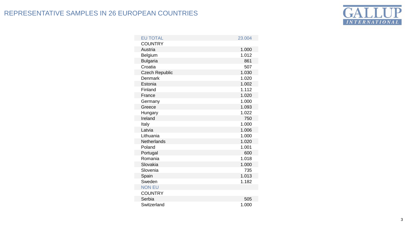# REPRESENTATIVE SAMPLES IN 26 EUROPEAN COUNTRIES



| <b>EU TOTAL</b>       | 23.004 |
|-----------------------|--------|
| <b>COUNTRY</b>        |        |
| Austria               | 1.000  |
| Belgium               | 1.012  |
| <b>Bulgaria</b>       | 861    |
| Croatia               | 507    |
| <b>Czech Republic</b> | 1.030  |
| Denmark               | 1.020  |
| Estonia               | 1.002  |
| Finland               | 1.112  |
| France                | 1.020  |
| Germany               | 1.000  |
| Greece                | 1.093  |
| Hungary               | 1.022  |
| Ireland               | 750    |
| Italy                 | 1.000  |
| Latvia                | 1.006  |
| Lithuania             | 1.000  |
| Netherlands           | 1.020  |
| Poland                | 1.001  |
| Portugal              | 600    |
| Romania               | 1.018  |
| Slovakia              | 1.000  |
| Slovenia              | 735    |
| Spain                 | 1.013  |
| Sweden                | 1.182  |
| <b>NON EU</b>         |        |
| <b>COUNTRY</b>        |        |
| Serbia                | 505    |
| Switzerland           | 1.000  |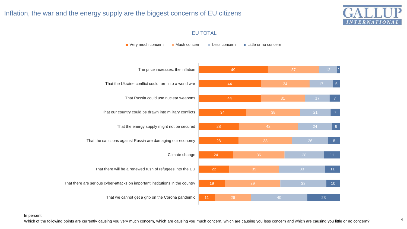## Inflation, the war and the energy supply are the biggest concerns of EU citizens



#### EU TOTAL



In percent

4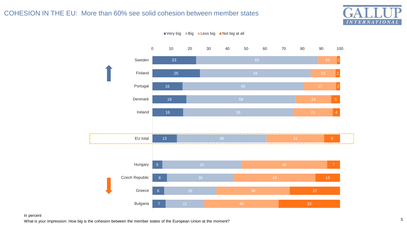## COHESION IN THE EU: More than 60% see solid cohesion between member states





 $\blacksquare$  Very big  $\blacksquare$  Big  $\blacksquare$  Less big  $\blacksquare$  Not big at all

#### In percent

What is your impression: How big is the cohesion between the member states of the European Union at the moment?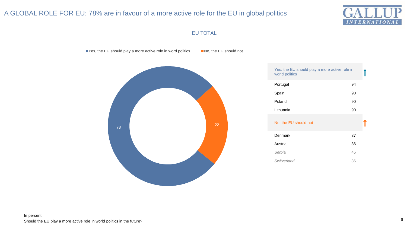# A GLOBAL ROLE FOR EU: 78% are in favour of a more active role for the EU in global politics



## EU TOTAL

■ Yes, the EU should play a more active role in word politics ■ No, the EU should not



| Yes, the EU should play a more active role in<br>world politics |    |  |
|-----------------------------------------------------------------|----|--|
| Portugal                                                        | 94 |  |
| Spain                                                           | 90 |  |
| Poland                                                          | 90 |  |
| Lithuania                                                       | 90 |  |
| No, the EU should not                                           |    |  |
| Denmark                                                         | 37 |  |
| Austria                                                         | 36 |  |
| Serbia                                                          | 45 |  |
| Switzerland                                                     | 36 |  |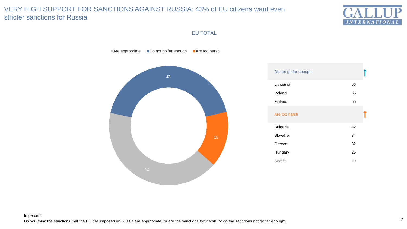## VERY HIGH SUPPORT FOR SANCTIONS AGAINST RUSSIA: 43% of EU citizens want even stricter sanctions for Russia



EU TOTAL

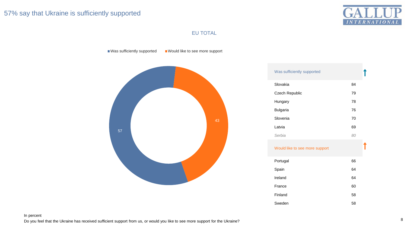## 57% say that Ukraine is sufficiently supported



#### EU TOTAL

Was sufficiently supported Would like to see more support



| Was sufficiently supported     |    |  |
|--------------------------------|----|--|
| Slovakia                       | 84 |  |
| Czech Republic                 | 79 |  |
| Hungary                        | 78 |  |
| <b>Bulgaria</b>                | 76 |  |
| Slovenia                       | 70 |  |
| Latvia                         | 69 |  |
| Serbia                         | 80 |  |
| Would like to see more support |    |  |

| Portugal | 66 |
|----------|----|
| Spain    | 64 |
| Ireland  | 64 |
| France   | 60 |
| Finland  | 58 |
| Sweden   | 58 |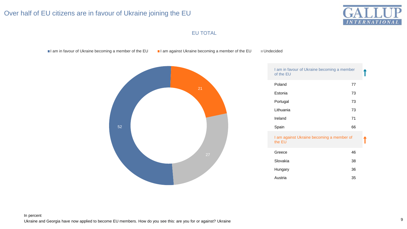## Over half of EU citizens are in favour of Ukraine joining the EU



## EU TOTAL

I am in favour of Ukraine becoming a member of the EU I am against Ukraine becoming a member of the EU II Undecided



| I am in favour of Ukraine becoming a member<br>of the EU |    |  |
|----------------------------------------------------------|----|--|
| Poland                                                   | 77 |  |
| Estonia                                                  | 73 |  |
| Portugal                                                 | 73 |  |
| Lithuania                                                | 73 |  |
| Ireland                                                  | 71 |  |
| Spain                                                    | 66 |  |
| I am against Ukraine becoming a member of<br>the EU      |    |  |
| Greece                                                   | 46 |  |
| Slovakia                                                 | 38 |  |
| Hungary                                                  | 36 |  |
| Austria                                                  | 35 |  |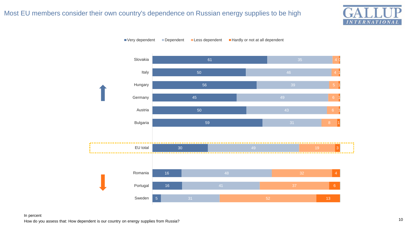## Most EU members consider their own country's dependence on Russian energy supplies to be high







#### How do you assess that: How dependent is our country on energy supplies from Russia? In percent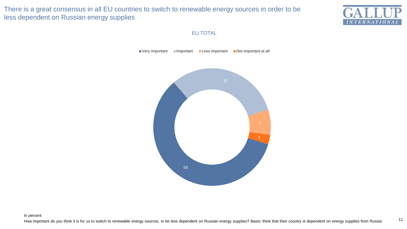There is a great consensus in all EU countries to switch to renewable energy sources in order to be less dependent on Russian energy supplies



11

## EU TOTAL

 $\blacksquare$  Very important  $\blacksquare$  Important  $\blacksquare$  Less important  $\blacksquare$  Not important at all



In percent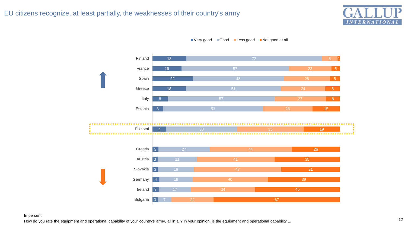



■ Very good ■ Good ■ Less good ■ Not good at all

#### In percent

How do you rate the equipment and operational capability of your country's army, all in all? In your opinion, is the equipment and operational capability ...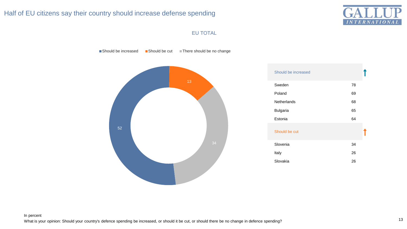## Half of EU citizens say their country should increase defense spending



#### EU TOTAL

Should be increased Should be cut There should be no change



| Should be increased |    |
|---------------------|----|
| Sweden              | 78 |
| Poland              | 69 |
| Netherlands         | 68 |
| <b>Bulgaria</b>     | 65 |
| Estonia             | 64 |
| Should be cut       |    |
| Slovenia            | 34 |
| Italy               | 26 |
| Slovakia            | 26 |
|                     |    |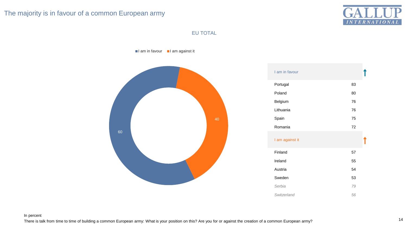## The majority is in favour of a common European army



## EU TOTAL

 $\blacksquare$ I am in favour  $\blacksquare$ I am against it



| I am in favour  |    |
|-----------------|----|
| Portugal        | 83 |
| Poland          | 80 |
| Belgium         | 76 |
| Lithuania       | 76 |
| Spain           | 75 |
| Romania         | 72 |
| I am against it |    |
| Finland         | 57 |
| Ireland         | 55 |
| Austria         | 54 |
| Sweden          | 53 |
| Serbia          | 79 |
| Switzerland     | 56 |

#### In percent

There is talk from time to time of building a common European army: What is your position on this? Are you for or against the creation of a common European army?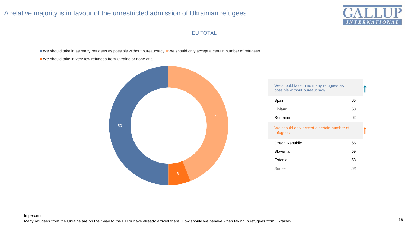## A relative majority is in favour of the unrestricted admission of Ukrainian refugees



## EU TOTAL

We should take in as many refugees as possible without bureaucracy We should only accept a certain number of refugees

We should take in very few refugees from Ukraine or none at all



| We should take in as many refugees as<br>possible without bureaucracy |    |  |
|-----------------------------------------------------------------------|----|--|
| Spain                                                                 | 65 |  |
| Finland                                                               | 63 |  |
| Romania                                                               | 62 |  |
| We should only accept a certain number of<br>refugees                 |    |  |
| <b>Czech Republic</b>                                                 | 66 |  |
| Slovenia                                                              | 59 |  |
| Estonia                                                               | 58 |  |
| Serbia                                                                | 58 |  |
|                                                                       |    |  |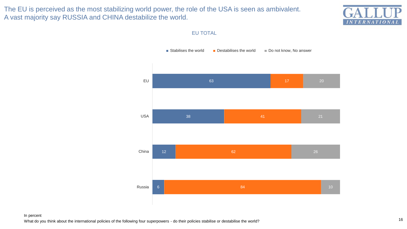The EU is perceived as the most stabilizing world power, the role of the USA is seen as ambivalent. A vast majority say RUSSIA and CHINA destabilize the world.



#### EU TOTAL

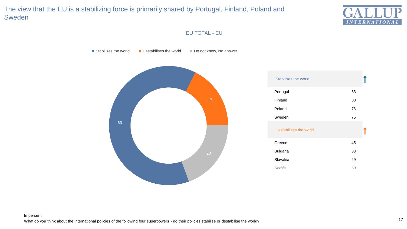# The view that the EU is a stabilizing force is primarily shared by Portugal, Finland, Poland and Sweden



## EU TOTAL - EU

Stabilises the world Destabilises the world  $\Box$  Do not know, No answer

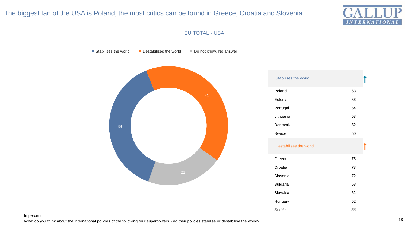## The biggest fan of the USA is Poland, the most critics can be found in Greece, Croatia and Slovenia



#### EU TOTAL - USA

Stabilises the world  $\Box$  Destabilises the world  $\Box$  Do not know, No answer



In percent

What do you think about the international policies of the following four superpowers - do their policies stabilise or destabilise the world?

Hungary 52 *Serbia 86*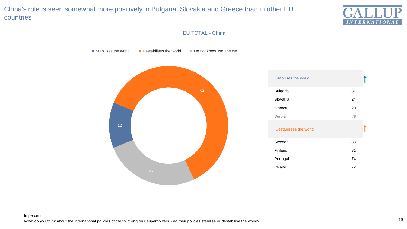# China's role is seen somewhat more positively in Bulgaria, Slovakia and Greece than in other EU countries



## EU TOTAL - China

Stabilises the world Destabilises the world  $\Box$  Do not know, No answer

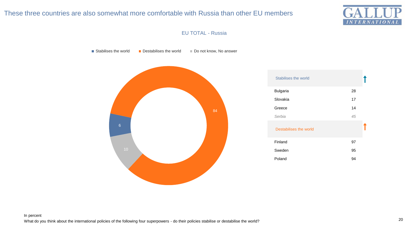## These three countries are also somewhat more comfortable with Russia than other EU members



#### EU TOTAL - Russia

Stabilises the world Destabilises the world  $\Box$  Do not know, No answer

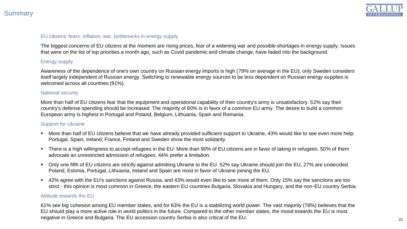

#### EU citizens' fears: inflation, war, bottlenecks in energy supply

The biggest concerns of EU citizens at the moment are rising prices, fear of a widening war and possible shortages in energy supply. Issues that were on the list of top priorities a month ago, such as Covid pandemic and climate change, have faded into the background.

## Energy supply

Awareness of the dependence of one's own country on Russian energy imports is high (79% on average in the EU); only Sweden considers itself largely independent of Russian energy. Switching to renewable energy sources to be less dependent on Russian energy supplies is welcomed across all countries (91%).

#### National security

More than half of EU citizens fear that the equipment and operational capability of their country's army is unsatisfactory. 52% say their country's defense spending should be increased. The majority of 60% is in favor of a common EU army. The desire to build a common European army is highest in Portugal and Poland, Belgium, Lithuania, Spain and Romania.

#### Support for Ukraine

- **More than half of EU citizens believe that we have already provided sufficient support to Ukraine, 43% would like to see even more help.** Portugal, Spain, Ireland, France, Finland and Sweden show the most solidarity.
- There is a high willingness to accept refugees in the EU: More than 90% of EU citizens are in favor of taking in refugees. 50% of them advocate an unrestricted admission of refugees, 44% prefer a limitation.
- Only one fifth of EU citizens are strictly against admitting Ukraine to the EU. 52% say Ukraine should join the EU, 27% are undecided. Poland, Estonia, Portugal, Lithuania, Ireland and Spain are most in favor of Ukraine joining the EU.
- 42% agree with the EU's sanctions against Russia, and 43% would even like to see more of them. Only 15% say the sanctions are too strict - this opinion is most common in Greece, the eastern EU countries Bulgaria, Slovakia and Hungary, and the non-EU country Serbia.

#### Attitude towards the EU

61% see big cohesion among EU member states, and for 63% the EU is a stabilizing world power. The vast majority (78%) believes that the EU should play a more active role in world politics in the future. Compared to the other member states, the mood towards the EU is most negative in Greece and Bulgaria. The EU accession country Serbia is also critical of the EU.